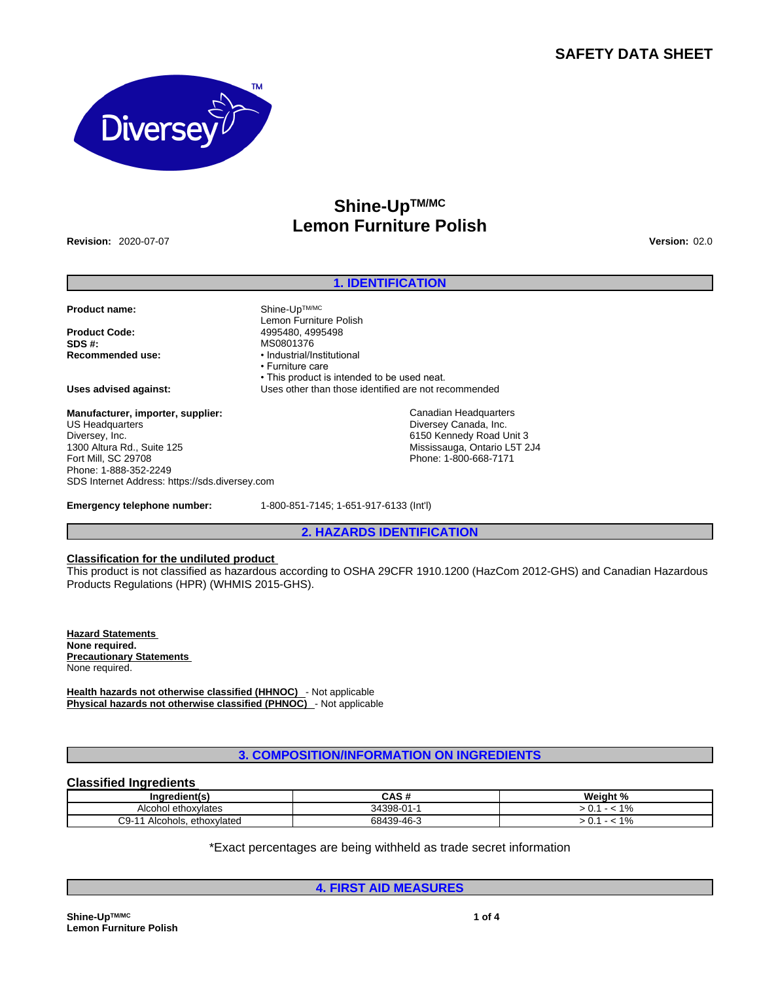## **SAFETY DATA SHEET**



# **Shine-UpTM/MC Lemon Furniture Polish**

**Revision:** 2020-07-07 **Version:** 02.0

## **1. IDENTIFICATION**

**Product name:** Shine-UpTM/MC

**Product Code:** 4995480, 4995498 **Recommended use:** • Industrial/Institutional

**Manufacturer, importer, supplier:** US Headquarters Diversey, Inc. 1300 Altura Rd., Suite 125 Fort Mill, SC 29708 Phone: 1-888-352-2249 SDS Internet Address: https://sds.diversey.com

• This product is intended to be used neat. **Uses advised against:** Uses other than those identified are not recommended Canadian Headquarters

Diversey Canada, Inc. 6150 Kennedy Road Unit 3 Mississauga, Ontario L5T 2J4 Phone: 1-800-668-7171

**Emergency telephone number:** 1-800-851-7145; 1-651-917-6133 (Int'l)

Lemon Furniture Polish

**SDS #:** MS0801376

• Furniture care

**2. HAZARDS IDENTIFICATION**

## **Classification for the undiluted product**

This product is not classified as hazardous according to OSHA 29CFR 1910.1200 (HazCom 2012-GHS) and Canadian Hazardous Products Regulations (HPR) (WHMIS 2015-GHS).

**Hazard Statements None required. Precautionary Statements**  None required.

**Health hazards not otherwise classified (HHNOC)** - Not applicable **Physical hazards not otherwise classified (PHNOC)** - Not applicable

**3. COMPOSITION/INFORMATION ON INGREDIENTS**

## **Classified Ingredients**

| Ingredient(s)                         | CAS #      | Weiaht %                  |
|---------------------------------------|------------|---------------------------|
| Alcohol ethoxylates                   | 34398-01-1 | 101<br>7٥                 |
| ⌒⌒<br>ethoxvlated<br>Alcohols.<br>∵⊌ب | 68439-46-3 | $\overline{\Omega}$<br>7٥ |

\*Exact percentages are being withheld as trade secret information

**4. FIRST AID MEASURES**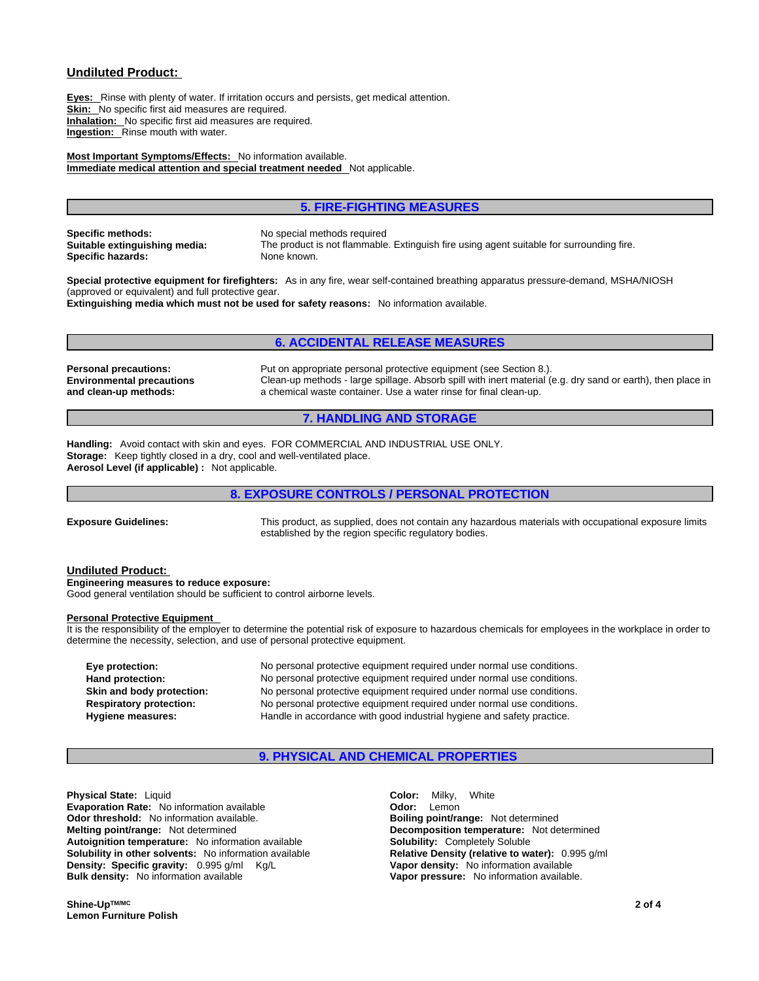## **Undiluted Product:**

**Eyes:** Rinse with plenty of water. If irritation occurs and persists, get medical attention. **Skin:** No specific first aid measures are required. **Inhalation:** No specific first aid measures are required. **Ingestion:** Rinse mouth with water.

**Most Important Symptoms/Effects:** No information available. **Immediate medical attention and special treatment needed** Not applicable.

## **5. FIRE-FIGHTING MEASURES**

**Specific methods:** No special methods required **Specific hazards:** None known.

**Suitable extinguishing media:** The product is not flammable. Extinguish fire using agent suitable for surrounding fire.

**Special protective equipment for firefighters:** As in any fire, wear self-contained breathing apparatus pressure-demand, MSHA/NIOSH (approved or equivalent) and full protective gear. **Extinguishing media which must not be used for safety reasons:** No information available.

#### **6. ACCIDENTAL RELEASE MEASURES**

**Environmental precautions and clean-up methods:** 

**Personal precautions:** Put on appropriate personal protective equipment (see Section 8.). Clean-up methods - large spillage. Absorb spill with inert material (e.g. dry sand or earth), then place in a chemical waste container. Use a water rinse for final clean-up.

#### **7. HANDLING AND STORAGE**

**Handling:** Avoid contact with skin and eyes. FOR COMMERCIAL AND INDUSTRIAL USE ONLY. **Storage:** Keep tightly closed in a dry, cool and well-ventilated place. **Aerosol Level (if applicable) :** Not applicable.

## **8. EXPOSURE CONTROLS / PERSONAL PROTECTION**

**Exposure Guidelines:** This product, as supplied, does not contain any hazardous materials with occupational exposure limits established by the region specific regulatory bodies.

#### **Undiluted Product:**

**Engineering measures to reduce exposure:** Good general ventilation should be sufficient to control airborne levels.

#### **Personal Protective Equipment**

It is the responsibility of the employer to determine the potential risk of exposure to hazardous chemicals for employees in the workplace in order to determine the necessity, selection, and use of personal protective equipment.

**Eye protection:** No personal protective equipment required under normal use conditions. **Hand protection:** No personal protective equipment required under normal use conditions. **Skin and body protection:** No personal protective equipment required under normal use conditions. **Respiratory protection:** No personal protective equipment required under normal use conditions. **Hygiene measures:** Handle in accordance with good industrial hygiene and safety practice.

## **9. PHYSICAL AND CHEMICAL PROPERTIES**

**Physical State:** Liquid **Color:** Milky, White **Evaporation Rate:** No information available **Constanting Constanting Codor:** Lemon **Odor threshold:** No information available. **Boiling point/range:** Not determined **Melting point/range:** Not determined **Decomposition temperature:** Not determined **Autoiquition temperature:** Not information available **Solubility:** Completely Soluble **Autoignition temperature:** No information available **Solubility in other solvents:** No information available **Relative Density (relative to water):** 0.995 g/ml **Density: Specific gravity:**  $0.995 \text{ g/ml}$  Kg/L **Vapor density:** No information available **Bulk density:** No information available

**Vapor pressure:** No information available.

**Shine-UpTM/MC Lemon Furniture Polish**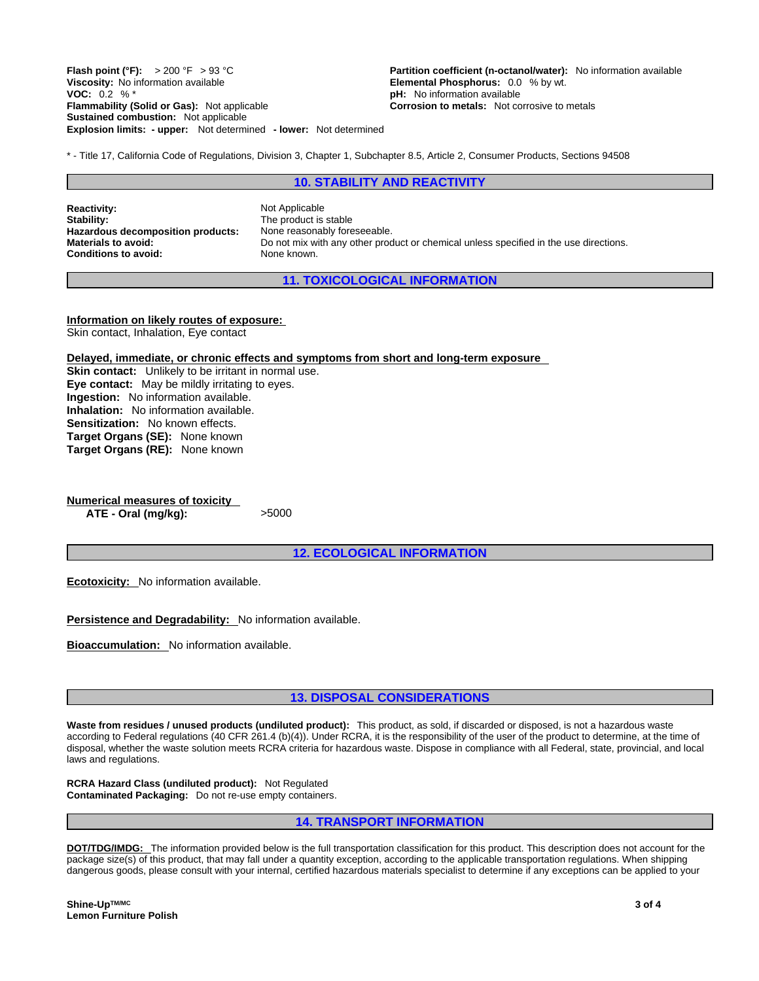**Explosion limits: - upper:** Not determined **- lower:** Not determined **Flash point (°F):** > 200 °F > 93 °C **Partition coefficient (n-octanol/water):** No information available Viscosity: No information available Viscosity: No information available Viscosity: No information available **VOC:** 0.2 % \* **pH:** No information available **Flammability (Solid or Gas):** Not applicable **Corrosion to metals:** Not corrosive to metals **Sustained combustion:** Not applicable

**Elemental Phosphorus:** 0.0 % by wt.

\* - Title 17, California Code of Regulations, Division 3, Chapter 1, Subchapter 8.5, Article 2, Consumer Products, Sections 94508

#### **10. STABILITY AND REACTIVITY**

**Reactivity:** Not Applicable Stability: Not Applicable Stability: Hazardous decomposition products: None reasonably foreseeable. **Conditions to avoid:** None known.

The product is stable **Materials to avoid:** Do not mix with any other product or chemical unless specified in the use directions.

**11. TOXICOLOGICAL INFORMATION**

**Information on likely routes of exposure:** Skin contact, Inhalation, Eye contact

**Delayed, immediate, or chronic effects and symptoms from short and long-term exposure**

**Skin contact:** Unlikely to be irritant in normal use. **Eye contact:** May be mildly irritating to eyes. **Ingestion:** No information available. **Inhalation:** No information available. **Sensitization:** No known effects. **Target Organs (SE):** None known **Target Organs (RE):** None known

**Numerical measures of toxicity ATE - Oral (mg/kg):** >5000

**12. ECOLOGICAL INFORMATION**

**Ecotoxicity:** No information available.

**Persistence and Degradability:** No information available.

**Bioaccumulation:** No information available.

**13. DISPOSAL CONSIDERATIONS**

**Waste from residues / unused products (undiluted product):** This product, as sold, if discarded or disposed, is not a hazardous waste according to Federal regulations (40 CFR 261.4 (b)(4)). Under RCRA, it is the responsibility of the user of the product to determine, at the time of disposal, whether the waste solution meets RCRA criteria for hazardous waste. Dispose in compliance with all Federal, state, provincial, and local laws and regulations.

**RCRA Hazard Class (undiluted product):** Not Regulated **Contaminated Packaging:** Do not re-use empty containers.

## **14. TRANSPORT INFORMATION**

**DOT/TDG/IMDG:** The information provided below is the full transportation classification for this product. This description does not account for the package size(s) of this product, that may fall under a quantity exception, according to the applicable transportation regulations. When shipping dangerous goods, please consult with your internal, certified hazardous materials specialist to determine if any exceptions can be applied to your